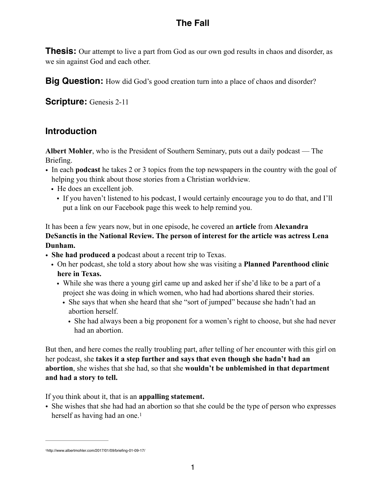# **The Fall**

**Thesis:** Our attempt to live a part from God as our own god results in chaos and disorder, as we sin against God and each other.

**Big Question:** How did God's good creation turn into a place of chaos and disorder?

**Scripture:** Genesis 2-11

## **Introduction**

**Albert Mohler**, who is the President of Southern Seminary, puts out a daily podcast — The Briefing.

- In each **podcast** he takes 2 or 3 topics from the top newspapers in the country with the goal of helping you think about those stories from a Christian worldview.
	- He does an excellent job.
		- If you haven't listened to his podcast, I would certainly encourage you to do that, and I'll put a link on our Facebook page this week to help remind you.

It has been a few years now, but in one episode, he covered an **article** from **Alexandra DeSanctis in the National Review. The person of interest for the article was actress Lena Dunham.** 

- **She had produced a** podcast about a recent trip to Texas.
	- On her podcast, she told a story about how she was visiting a **Planned Parenthood clinic here in Texas.** 
		- While she was there a young girl came up and asked her if she'd like to be a part of a project she was doing in which women, who had had abortions shared their stories.
			- She says that when she heard that she "sort of jumped" because she hadn't had an abortion herself.
				- She had always been a big proponent for a women's right to choose, but she had never had an abortion.

But then, and here comes the really troubling part, after telling of her encounter with this girl on her podcast, she **takes it a step further and says that even though she hadn't had an abortion**, she wishes that she had, so that she **wouldn't be unblemished in that department and had a story to tell.** 

If you think about it, that is an **appalling statement.**

<span id="page-0-1"></span>• She wishes that she had had an abortion so that she could be the type of person who expresses herself as having had an one.<sup>1</sup>

<span id="page-0-0"></span>http://www.albertmohler.com/2017/01/09/briefing-01-09-17/ [1](#page-0-1)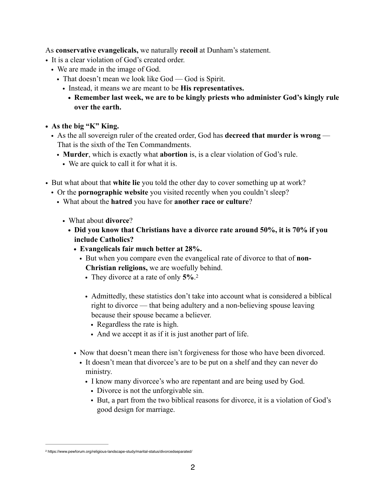As **conservative evangelicals,** we naturally **recoil** at Dunham's statement.

- It is a clear violation of God's created order.
	- We are made in the image of God.
		- That doesn't mean we look like God God is Spirit.
			- Instead, it means we are meant to be **His representatives.** 
				- **• Remember last week, we are to be kingly priests who administer God's kingly rule over the earth.**
- **• As the big "K" King.** 
	- As the all sovereign ruler of the created order, God has **decreed that murder is wrong** That is the sixth of the Ten Commandments.
		- **Murder**, which is exactly what **abortion** is, is a clear violation of God's rule.
			- We are quick to call it for what it is.
- <span id="page-1-1"></span>• But what about that **white lie** you told the other day to cover something up at work?
	- Or the **pornographic website** you visited recently when you couldn't sleep?
		- What about the **hatred** you have for **another race or culture**?
			- What about **divorce**?
				- **• Did you know that Christians have a divorce rate around 50%, it is 70% if you include Catholics?** 
					- **• Evangelicals fair much better at 28%.** 
						- But when you compare even the evangelical rate of divorce to that of **non-Christian religions,** we are woefully behind.
							- They divorce at a rate of only **5%**.[2](#page-1-0)
							- Admittedly, these statistics don't take into account what is considered a biblical right to divorce — that being adultery and a non-believing spouse leaving because their spouse became a believer.
								- Regardless the rate is high.
								- And we accept it as if it is just another part of life.
					- Now that doesn't mean there isn't forgiveness for those who have been divorced.
						- It doesn't mean that divorcee's are to be put on a shelf and they can never do ministry.
							- I know many divorcee's who are repentant and are being used by God.
								- Divorce is not the unforgivable sin.
								- But, a part from the two biblical reasons for divorce, it is a violation of God's good design for marriage.

<span id="page-1-0"></span>https://www.pewforum.org/religious-landscape-study/marital-status/divorcedseparated/ [2](#page-1-1)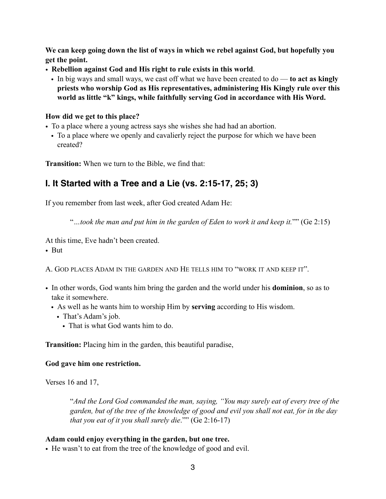**We can keep going down the list of ways in which we rebel against God, but hopefully you get the point.** 

- **Rebellion against God and His right to rule exists in this world**.
	- In big ways and small ways, we cast off what we have been created to do **to act as kingly priests who worship God as His representatives, administering His Kingly rule over this world as little "k" kings, while faithfully serving God in accordance with His Word.**

#### **How did we get to this place?**

- To a place where a young actress says she wishes she had had an abortion.
- To a place where we openly and cavalierly reject the purpose for which we have been created?

**Transition:** When we turn to the Bible, we find that:

## **I. It Started with a Tree and a Lie (vs. 2:15-17, 25; 3)**

If you remember from last week, after God created Adam He:

"*…took the man and put him in the garden of Eden to work it and keep it.*"" (Ge 2:15)

At this time, Eve hadn't been created.

• But

A. GOD PLACES ADAM IN THE GARDEN AND HE TELLS HIM TO "WORK IT AND KEEP IT".

- In other words, God wants him bring the garden and the world under his **dominion**, so as to take it somewhere.
	- As well as he wants him to worship Him by **serving** according to His wisdom.
		- That's Adam's job.
			- That is what God wants him to do.

**Transition:** Placing him in the garden, this beautiful paradise,

#### **God gave him one restriction.**

Verses 16 and 17,

"*And the Lord God commanded the man, saying, "You may surely eat of every tree of the garden, but of the tree of the knowledge of good and evil you shall not eat, for in the day that you eat of it you shall surely die*."" (Ge 2:16-17)

#### **Adam could enjoy everything in the garden, but one tree.**

• He wasn't to eat from the tree of the knowledge of good and evil.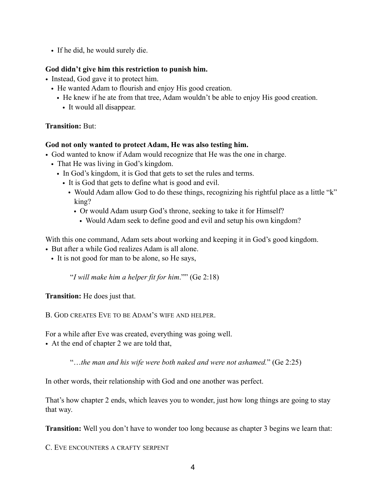• If he did, he would surely die.

#### **God didn't give him this restriction to punish him.**

- Instead, God gave it to protect him.
	- He wanted Adam to flourish and enjoy His good creation.
		- He knew if he ate from that tree, Adam wouldn't be able to enjoy His good creation.
			- It would all disappear.

### **Transition:** But:

### **God not only wanted to protect Adam, He was also testing him.**

- God wanted to know if Adam would recognize that He was the one in charge.
	- That He was living in God's kingdom.
		- In God's kingdom, it is God that gets to set the rules and terms.
			- It is God that gets to define what is good and evil.
				- Would Adam allow God to do these things, recognizing his rightful place as a little "k" king?
					- Or would Adam usurp God's throne, seeking to take it for Himself?
						- Would Adam seek to define good and evil and setup his own kingdom?

With this one command, Adam sets about working and keeping it in God's good kingdom.

• But after a while God realizes Adam is all alone.

• It is not good for man to be alone, so He says,

"*I will make him a helper fit for him*."" (Ge 2:18)

**Transition:** He does just that.

B. GOD CREATES EVE TO BE ADAM'S WIFE AND HELPER.

For a while after Eve was created, everything was going well.

• At the end of chapter 2 we are told that,

"…*the man and his wife were both naked and were not ashamed.*" (Ge 2:25)

In other words, their relationship with God and one another was perfect.

That's how chapter 2 ends, which leaves you to wonder, just how long things are going to stay that way.

**Transition:** Well you don't have to wonder too long because as chapter 3 begins we learn that:

C. EVE ENCOUNTERS A CRAFTY SERPENT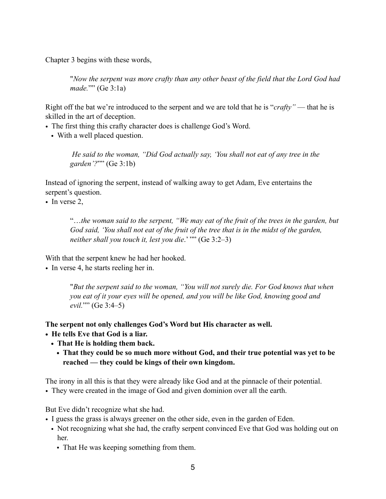Chapter 3 begins with these words,

"*Now the serpent was more crafty than any other beast of the field that the Lord God had made.*"" (Ge 3:1a)

Right off the bat we're introduced to the serpent and we are told that he is "*crafty"* — that he is skilled in the art of deception.

- The first thing this crafty character does is challenge God's Word.
	- With a well placed question.

 *He said to the woman, "Did God actually say, 'You shall not eat of any tree in the garden'?*"" (Ge 3:1b)

Instead of ignoring the serpent, instead of walking away to get Adam, Eve entertains the serpent's question.

• In verse 2,

"…*the woman said to the serpent, "We may eat of the fruit of the trees in the garden, but God said, 'You shall not eat of the fruit of the tree that is in the midst of the garden, neither shall you touch it, lest you die*.' "" (Ge 3:2–3)

With that the serpent knew he had her hooked.

• In verse 4, he starts reeling her in.

"*But the serpent said to the woman, "You will not surely die. For God knows that when you eat of it your eyes will be opened, and you will be like God, knowing good and evil.*"" (Ge 3:4–5)

**The serpent not only challenges God's Word but His character as well.** 

- **• He tells Eve that God is a liar.** 
	- **• That He is holding them back.** 
		- **• That they could be so much more without God, and their true potential was yet to be reached — they could be kings of their own kingdom.**

The irony in all this is that they were already like God and at the pinnacle of their potential.

• They were created in the image of God and given dominion over all the earth.

But Eve didn't recognize what she had.

- I guess the grass is always greener on the other side, even in the garden of Eden.
	- Not recognizing what she had, the crafty serpent convinced Eve that God was holding out on her.
		- That He was keeping something from them.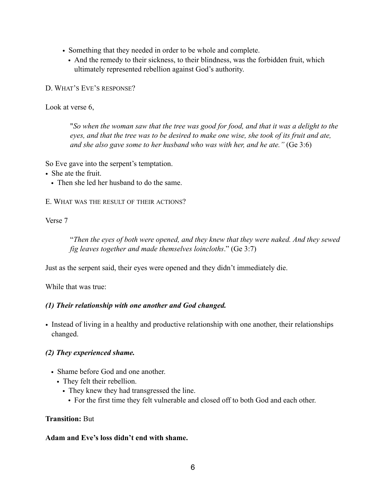- Something that they needed in order to be whole and complete.
	- And the remedy to their sickness, to their blindness, was the forbidden fruit, which ultimately represented rebellion against God's authority.

D. WHAT'S EVE'S RESPONSE?

Look at verse 6,

"*So when the woman saw that the tree was good for food, and that it was a delight to the eyes, and that the tree was to be desired to make one wise, she took of its fruit and ate, and she also gave some to her husband who was with her, and he ate."* (Ge 3:6)

So Eve gave into the serpent's temptation.

- She ate the fruit.
	- Then she led her husband to do the same.

E. WHAT WAS THE RESULT OF THEIR ACTIONS?

Verse 7

"*Then the eyes of both were opened, and they knew that they were naked. And they sewed fig leaves together and made themselves loincloths*." (Ge 3:7)

Just as the serpent said, their eyes were opened and they didn't immediately die.

While that was true:

#### *(1) Their relationship with one another and God changed.*

• Instead of living in a healthy and productive relationship with one another, their relationships changed.

#### *(2) They experienced shame.*

- Shame before God and one another.
	- They felt their rebellion.
		- They knew they had transgressed the line.
			- For the first time they felt vulnerable and closed off to both God and each other.

#### **Transition:** But

#### **Adam and Eve's loss didn't end with shame.**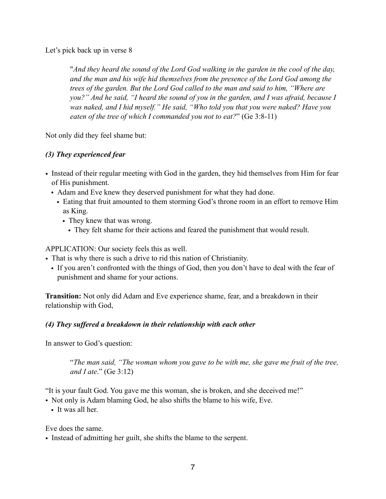Let's pick back up in verse 8

"*And they heard the sound of the Lord God walking in the garden in the cool of the day, and the man and his wife hid themselves from the presence of the Lord God among the trees of the garden. But the Lord God called to the man and said to him, "Where are you?" And he said, "I heard the sound of you in the garden, and I was afraid, because I was naked, and I hid myself." He said, "Who told you that you were naked? Have you eaten of the tree of which I commanded you not to eat?*" (Ge 3:8-11)

Not only did they feel shame but:

## *(3) They experienced fear*

- Instead of their regular meeting with God in the garden, they hid themselves from Him for fear of His punishment.
	- Adam and Eve knew they deserved punishment for what they had done.
		- Eating that fruit amounted to them storming God's throne room in an effort to remove Him as King.
			- They knew that was wrong.
				- They felt shame for their actions and feared the punishment that would result.

APPLICATION: Our society feels this as well.

- That is why there is such a drive to rid this nation of Christianity.
	- If you aren't confronted with the things of God, then you don't have to deal with the fear of punishment and shame for your actions.

**Transition:** Not only did Adam and Eve experience shame, fear, and a breakdown in their relationship with God,

## *(4) They suffered a breakdown in their relationship with each other*

In answer to God's question:

"*The man said, "The woman whom you gave to be with me, she gave me fruit of the tree, and I ate*." (Ge 3:12)

"It is your fault God. You gave me this woman, she is broken, and she deceived me!"

- Not only is Adam blaming God, he also shifts the blame to his wife, Eve.
	- It was all her

Eve does the same.

• Instead of admitting her guilt, she shifts the blame to the serpent.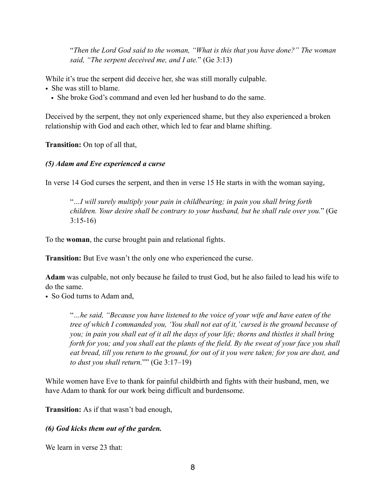"*Then the Lord God said to the woman, "What is this that you have done?" The woman said, "The serpent deceived me, and I ate.*" (Ge 3:13)

While it's true the serpent did deceive her, she was still morally culpable.

- She was still to blame.
	- She broke God's command and even led her husband to do the same.

Deceived by the serpent, they not only experienced shame, but they also experienced a broken relationship with God and each other, which led to fear and blame shifting.

**Transition:** On top of all that,

### *(5) Adam and Eve experienced a curse*

In verse 14 God curses the serpent, and then in verse 15 He starts in with the woman saying,

"*…I will surely multiply your pain in childbearing; in pain you shall bring forth children. Your desire shall be contrary to your husband, but he shall rule over you.*" (Ge 3:15-16)

To the **woman**, the curse brought pain and relational fights.

**Transition:** But Eve wasn't the only one who experienced the curse.

**Adam** was culpable, not only because he failed to trust God, but he also failed to lead his wife to do the same.

• So God turns to Adam and,

"*…he said, "Because you have listened to the voice of your wife and have eaten of the tree of which I commanded you, 'You shall not eat of it,' cursed is the ground because of you; in pain you shall eat of it all the days of your life; thorns and thistles it shall bring forth for you; and you shall eat the plants of the field. By the sweat of your face you shall eat bread, till you return to the ground, for out of it you were taken; for you are dust, and to dust you shall return.*"" (Ge 3:17–19)

While women have Eve to thank for painful childbirth and fights with their husband, men, we have Adam to thank for our work being difficult and burdensome.

**Transition:** As if that wasn't bad enough,

## *(6) God kicks them out of the garden.*

We learn in verse 23 that: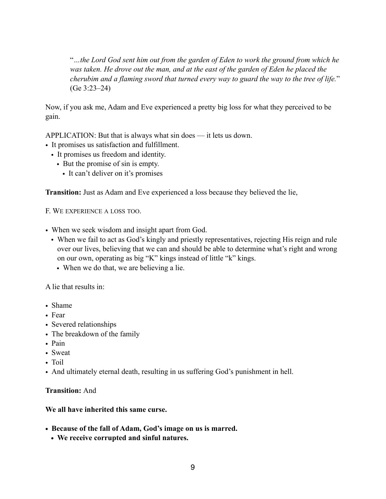"*…the Lord God sent him out from the garden of Eden to work the ground from which he*  was taken. He drove out the man, and at the east of the garden of Eden he placed the *cherubim and a flaming sword that turned every way to guard the way to the tree of life.*" (Ge 3:23–24)

Now, if you ask me, Adam and Eve experienced a pretty big loss for what they perceived to be gain.

APPLICATION: But that is always what sin does — it lets us down.

- It promises us satisfaction and fulfillment.
	- It promises us freedom and identity.
		- But the promise of sin is empty.
			- It can't deliver on it's promises

**Transition:** Just as Adam and Eve experienced a loss because they believed the lie,

F. WE EXPERIENCE A LOSS TOO.

- When we seek wisdom and insight apart from God.
	- When we fail to act as God's kingly and priestly representatives, rejecting His reign and rule over our lives, believing that we can and should be able to determine what's right and wrong on our own, operating as big "K" kings instead of little "k" kings.
		- When we do that, we are believing a lie.

A lie that results in:

- Shame
- Fear
- Severed relationships
- The breakdown of the family
- Pain
- Sweat
- Toil
- And ultimately eternal death, resulting in us suffering God's punishment in hell.

#### **Transition:** And

#### **We all have inherited this same curse.**

- **• Because of the fall of Adam, God's image on us is marred.** 
	- **• We receive corrupted and sinful natures.**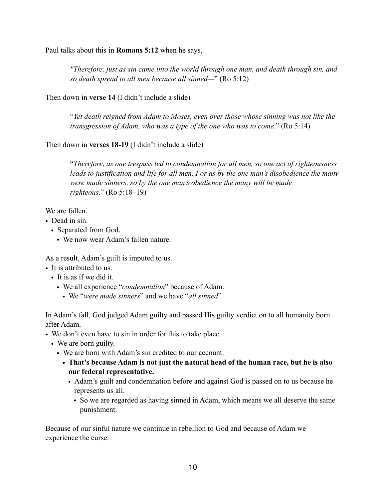Paul talks about this in **Romans 5:12** when he says,

*"Therefore, just as sin came into the world through one man, and death through sin, and so death spread to all men because all sinned—*" (Ro 5:12)

Then down in **verse 14** (I didn't include a slide)

"*Yet death reigned from Adam to Moses, even over those whose sinning was not like the transgression of Adam, who was a type of the one who was to come*." (Ro 5:14)

Then down in **verses 18-19** (I didn't include a slide)

"*Therefore, as one trespass led to condemnation for all men, so one act of righteousness leads to justification and life for all men. For as by the one man's disobedience the many were made sinners, so by the one man's obedience the many will be made righteous*." (Ro 5:18–19)

We are fallen.

- Dead in sin.
	- Separated from God.
		- We now wear Adam's fallen nature.

As a result, Adam's guilt is imputed to us.

- It is attributed to us.
	- It is as if we did it.
		- We all experience "*condemnation*" because of Adam.
			- We "*were made sinners*" and we have "*all sinned*"

In Adam's fall, God judged Adam guilty and passed His guilty verdict on to all humanity born after Adam.

- We don't even have to sin in order for this to take place.
	- We are born guilty.
		- We are born with Adam's sin credited to our account.
			- **• That's because Adam is not just the natural head of the human race, but he is also our federal representative.** 
				- Adam's guilt and condemnation before and against God is passed on to us because he represents us all.
					- So we are regarded as having sinned in Adam, which means we all deserve the same punishment.

Because of our sinful nature we continue in rebellion to God and because of Adam we experience the curse.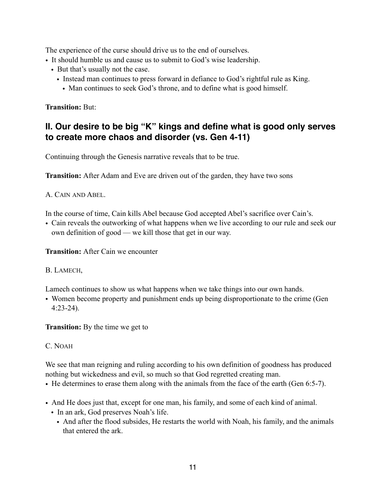The experience of the curse should drive us to the end of ourselves.

- It should humble us and cause us to submit to God's wise leadership.
	- But that's usually not the case.
		- Instead man continues to press forward in defiance to God's rightful rule as King.
			- Man continues to seek God's throne, and to define what is good himself.

**Transition:** But:

## **II. Our desire to be big "K" kings and define what is good only serves to create more chaos and disorder (vs. Gen 4-11)**

Continuing through the Genesis narrative reveals that to be true.

**Transition:** After Adam and Eve are driven out of the garden, they have two sons

A. CAIN AND ABEL.

In the course of time, Cain kills Abel because God accepted Abel's sacrifice over Cain's.

• Cain reveals the outworking of what happens when we live according to our rule and seek our own definition of good — we kill those that get in our way.

**Transition:** After Cain we encounter

B. LAMECH,

Lamech continues to show us what happens when we take things into our own hands.

• Women become property and punishment ends up being disproportionate to the crime (Gen 4:23-24).

**Transition:** By the time we get to

C. NOAH

We see that man reigning and ruling according to his own definition of goodness has produced nothing but wickedness and evil, so much so that God regretted creating man.

- He determines to erase them along with the animals from the face of the earth (Gen 6:5-7).
- And He does just that, except for one man, his family, and some of each kind of animal.
	- In an ark, God preserves Noah's life.
		- And after the flood subsides, He restarts the world with Noah, his family, and the animals that entered the ark.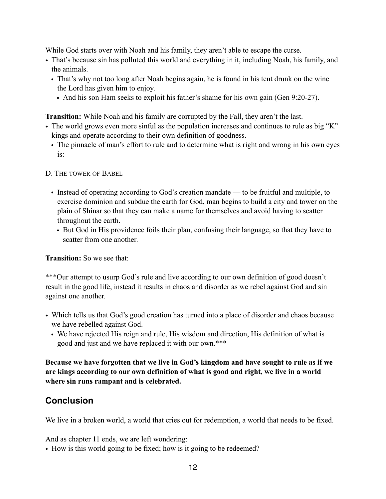While God starts over with Noah and his family, they aren't able to escape the curse.

- That's because sin has polluted this world and everything in it, including Noah, his family, and the animals.
	- That's why not too long after Noah begins again, he is found in his tent drunk on the wine the Lord has given him to enjoy.
		- And his son Ham seeks to exploit his father's shame for his own gain (Gen 9:20-27).

**Transition:** While Noah and his family are corrupted by the Fall, they aren't the last.

- The world grows even more sinful as the population increases and continues to rule as big "K" kings and operate according to their own definition of goodness.
	- The pinnacle of man's effort to rule and to determine what is right and wrong in his own eyes is:

D. THE TOWER OF BABEL

- Instead of operating according to God's creation mandate to be fruitful and multiple, to exercise dominion and subdue the earth for God, man begins to build a city and tower on the plain of Shinar so that they can make a name for themselves and avoid having to scatter throughout the earth.
	- But God in His providence foils their plan, confusing their language, so that they have to scatter from one another.

**Transition:** So we see that:

\*\*\*Our attempt to usurp God's rule and live according to our own definition of good doesn't result in the good life, instead it results in chaos and disorder as we rebel against God and sin against one another.

- Which tells us that God's good creation has turned into a place of disorder and chaos because we have rebelled against God.
	- We have rejected His reign and rule, His wisdom and direction, His definition of what is good and just and we have replaced it with our own.\*\*\*

**Because we have forgotten that we live in God's kingdom and have sought to rule as if we are kings according to our own definition of what is good and right, we live in a world where sin runs rampant and is celebrated.** 

## **Conclusion**

We live in a broken world, a world that cries out for redemption, a world that needs to be fixed.

And as chapter 11 ends, we are left wondering:

• How is this world going to be fixed; how is it going to be redeemed?